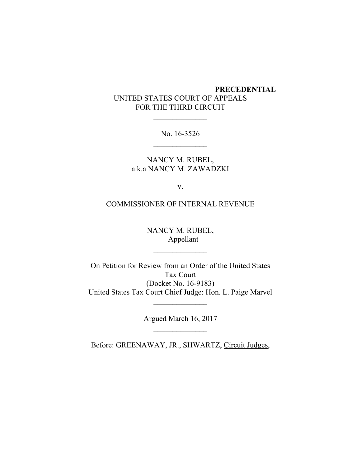# **PRECEDENTIAL** UNITED STATES COURT OF APPEALS FOR THE THIRD CIRCUIT

No. 16-3526

NANCY M. RUBEL, a.k.a NANCY M. ZAWADZKI

v.

COMMISSIONER OF INTERNAL REVENUE

NANCY M. RUBEL, Appellant

\_\_\_\_\_\_\_\_\_\_\_\_\_\_

On Petition for Review from an Order of the United States Tax Court (Docket No. 16-9183) United States Tax Court Chief Judge: Hon. L. Paige Marvel

> Argued March 16, 2017  $\frac{1}{2}$

 $\mathcal{L}_\text{max}$  and  $\mathcal{L}_\text{max}$ 

Before: GREENAWAY, JR., SHWARTZ, Circuit Judges,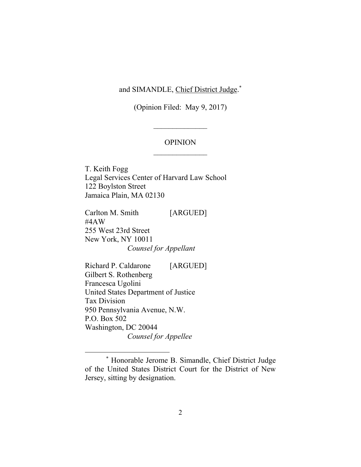and SIMANDLE, Chief District Judge.<sup>\*</sup>

(Opinion Filed: May 9, 2017)

## OPINION

T. Keith Fogg Legal Services Center of Harvard Law School 122 Boylston Street Jamaica Plain, MA 02130

Carlton M. Smith [ARGUED] #4AW 255 West 23rd Street New York, NY 10011 *Counsel for Appellant* 

Richard P. Caldarone [ARGUED] Gilbert S. Rothenberg Francesca Ugolini United States Department of Justice Tax Division 950 Pennsylvania Avenue, N.W. P.O. Box 502 Washington, DC 20044 *Counsel for Appellee*

<sup>\*</sup> Honorable Jerome B. Simandle, Chief District Judge of the United States District Court for the District of New Jersey, sitting by designation.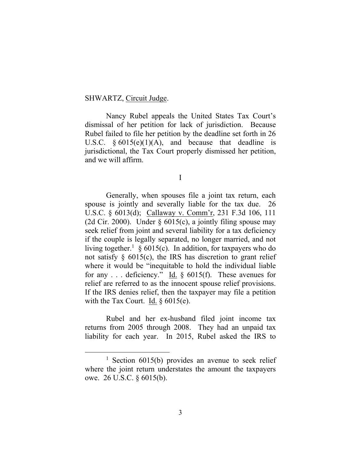### SHWARTZ, Circuit Judge.

 $\overline{a}$ 

Nancy Rubel appeals the United States Tax Court's dismissal of her petition for lack of jurisdiction. Because Rubel failed to file her petition by the deadline set forth in 26 U.S.C.  $§ 6015(e)(1)(A)$ , and because that deadline is jurisdictional, the Tax Court properly dismissed her petition, and we will affirm.

I

Generally, when spouses file a joint tax return, each spouse is jointly and severally liable for the tax due. 26 U.S.C. § 6013(d); Callaway v. Comm'r, 231 F.3d 106, 111 (2d Cir. 2000). Under  $\S$  6015(c), a jointly filing spouse may seek relief from joint and several liability for a tax deficiency if the couple is legally separated, no longer married, and not living together.<sup>1</sup> § 6015(c). In addition, for taxpayers who do not satisfy § 6015(c), the IRS has discretion to grant relief where it would be "inequitable to hold the individual liable for any ... deficiency." Id.  $\S$  6015(f). These avenues for relief are referred to as the innocent spouse relief provisions. If the IRS denies relief, then the taxpayer may file a petition with the Tax Court. Id.  $\S 6015(e)$ .

Rubel and her ex-husband filed joint income tax returns from 2005 through 2008. They had an unpaid tax liability for each year. In 2015, Rubel asked the IRS to

<sup>&</sup>lt;sup>1</sup> Section 6015(b) provides an avenue to seek relief where the joint return understates the amount the taxpayers owe. 26 U.S.C. § 6015(b).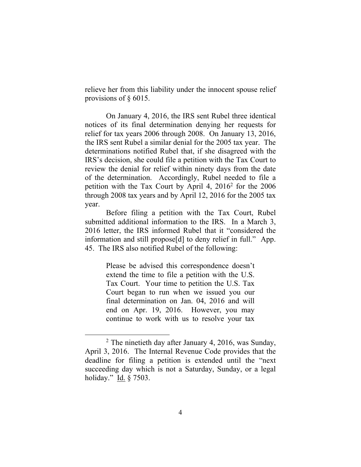relieve her from this liability under the innocent spouse relief provisions of § 6015.

On January 4, 2016, the IRS sent Rubel three identical notices of its final determination denying her requests for relief for tax years 2006 through 2008. On January 13, 2016, the IRS sent Rubel a similar denial for the 2005 tax year. The determinations notified Rubel that, if she disagreed with the IRS's decision, she could file a petition with the Tax Court to review the denial for relief within ninety days from the date of the determination. Accordingly, Rubel needed to file a petition with the Tax Court by April 4, 2016<sup>2</sup> for the 2006 through 2008 tax years and by April 12, 2016 for the 2005 tax year.

Before filing a petition with the Tax Court, Rubel submitted additional information to the IRS. In a March 3, 2016 letter, the IRS informed Rubel that it "considered the information and still propose[d] to deny relief in full." App. 45. The IRS also notified Rubel of the following:

> Please be advised this correspondence doesn't extend the time to file a petition with the U.S. Tax Court. Your time to petition the U.S. Tax Court began to run when we issued you our final determination on Jan. 04, 2016 and will end on Apr. 19, 2016. However, you may continue to work with us to resolve your tax

 $2$  The ninetieth day after January 4, 2016, was Sunday, April 3, 2016. The Internal Revenue Code provides that the deadline for filing a petition is extended until the "next succeeding day which is not a Saturday, Sunday, or a legal holiday." Id. § 7503.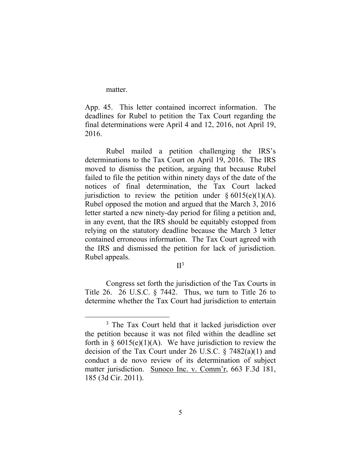matter.

 $\overline{a}$ 

App. 45. This letter contained incorrect information. The deadlines for Rubel to petition the Tax Court regarding the final determinations were April 4 and 12, 2016, not April 19, 2016.

Rubel mailed a petition challenging the IRS's determinations to the Tax Court on April 19, 2016. The IRS moved to dismiss the petition, arguing that because Rubel failed to file the petition within ninety days of the date of the notices of final determination, the Tax Court lacked jurisdiction to review the petition under  $§ 6015(e)(1)(A)$ . Rubel opposed the motion and argued that the March 3, 2016 letter started a new ninety-day period for filing a petition and, in any event, that the IRS should be equitably estopped from relying on the statutory deadline because the March 3 letter contained erroneous information. The Tax Court agreed with the IRS and dismissed the petition for lack of jurisdiction. Rubel appeals.

#### $II<sup>3</sup>$

Congress set forth the jurisdiction of the Tax Courts in Title 26. 26 U.S.C. § 7442. Thus, we turn to Title 26 to determine whether the Tax Court had jurisdiction to entertain

<sup>&</sup>lt;sup>3</sup> The Tax Court held that it lacked jurisdiction over the petition because it was not filed within the deadline set forth in  $\S$  6015(e)(1)(A). We have jurisdiction to review the decision of the Tax Court under 26 U.S.C. § 7482(a)(1) and conduct a de novo review of its determination of subject matter jurisdiction. Sunoco Inc. v. Comm'r, 663 F.3d 181, 185 (3d Cir. 2011).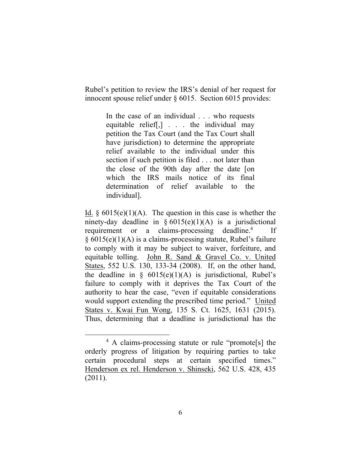Rubel's petition to review the IRS's denial of her request for innocent spouse relief under § 6015. Section 6015 provides:

> In the case of an individual . . . who requests equitable relief[,] . . . the individual may petition the Tax Court (and the Tax Court shall have jurisdiction) to determine the appropriate relief available to the individual under this section if such petition is filed . . . not later than the close of the 90th day after the date [on which the IRS mails notice of its final determination of relief available to the individual].

Id.  $\S$  6015(e)(1)(A). The question in this case is whether the ninety-day deadline in  $\S 6015(e)(1)(A)$  is a jurisdictional requirement or a claims-processing deadline.<sup>4</sup> If § 6015(e)(1)(A) is a claims-processing statute, Rubel's failure to comply with it may be subject to waiver, forfeiture, and equitable tolling. John R. Sand & Gravel Co. v. United States, 552 U.S. 130, 133-34 (2008). If, on the other hand, the deadline in  $\S$  6015(e)(1)(A) is jurisdictional, Rubel's failure to comply with it deprives the Tax Court of the authority to hear the case, "even if equitable considerations would support extending the prescribed time period." United States v. Kwai Fun Wong, 135 S. Ct. 1625, 1631 (2015). Thus, determining that a deadline is jurisdictional has the

<sup>4</sup> A claims-processing statute or rule "promote[s] the orderly progress of litigation by requiring parties to take certain procedural steps at certain specified times." Henderson ex rel. Henderson v. Shinseki, 562 U.S. 428, 435 (2011).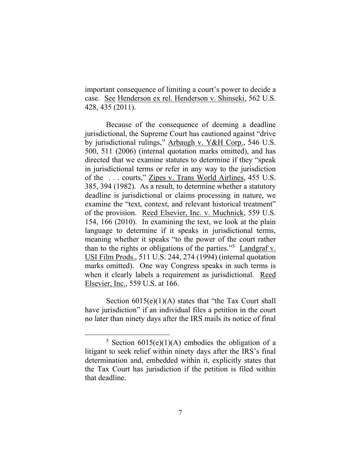important consequence of limiting a court's power to decide a case. See Henderson ex rel. Henderson v. Shinseki, 562 U.S. 428, 435 (2011).

Because of the consequence of deeming a deadline jurisdictional, the Supreme Court has cautioned against "drive by jurisdictional rulings," Arbaugh v. Y&H Corp., 546 U.S. 500, 511 (2006) (internal quotation marks omitted), and has directed that we examine statutes to determine if they "speak in jurisdictional terms or refer in any way to the jurisdiction of the . . . courts," Zipes v. Trans World Airlines, 455 U.S. 385, 394 (1982). As a result, to determine whether a statutory deadline is jurisdictional or claims processing in nature, we examine the "text, context, and relevant historical treatment" of the provision. Reed Elsevier, Inc. v. Muchnick, 559 U.S. 154, 166 (2010). In examining the text, we look at the plain language to determine if it speaks in jurisdictional terms, meaning whether it speaks "to the power of the court rather than to the rights or obligations of the parties."<sup>5</sup> Landgraf v. USI Film Prods., 511 U.S. 244, 274 (1994) (internal quotation marks omitted). One way Congress speaks in such terms is when it clearly labels a requirement as jurisdictional. Reed Elsevier, Inc., 559 U.S. at 166.

Section  $6015(e)(1)(A)$  states that "the Tax Court shall" have jurisdiction" if an individual files a petition in the court no later than ninety days after the IRS mails its notice of final

<sup>&</sup>lt;sup>5</sup> Section 6015(e)(1)(A) embodies the obligation of a litigant to seek relief within ninety days after the IRS's final determination and, embedded within it, explicitly states that the Tax Court has jurisdiction if the petition is filed within that deadline.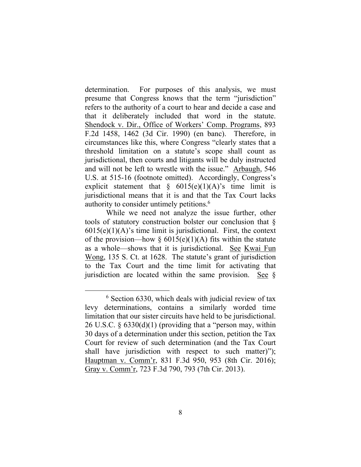determination. For purposes of this analysis, we must presume that Congress knows that the term "jurisdiction" refers to the authority of a court to hear and decide a case and that it deliberately included that word in the statute. Shendock v. Dir., Office of Workers' Comp. Programs, 893 F.2d 1458, 1462 (3d Cir. 1990) (en banc). Therefore, in circumstances like this, where Congress "clearly states that a threshold limitation on a statute's scope shall count as jurisdictional, then courts and litigants will be duly instructed and will not be left to wrestle with the issue." Arbaugh, 546 U.S. at 515-16 (footnote omitted). Accordingly, Congress's explicit statement that  $§ 6015(e)(1)(A)$ 's time limit is jurisdictional means that it is and that the Tax Court lacks authority to consider untimely petitions. 6

While we need not analyze the issue further, other tools of statutory construction bolster our conclusion that §  $6015(e)(1)(A)$ 's time limit is jurisdictional. First, the context of the provision—how §  $6015(e)(1)(A)$  fits within the statute as a whole—shows that it is jurisdictional. See Kwai Fun Wong, 135 S. Ct. at 1628. The statute's grant of jurisdiction to the Tax Court and the time limit for activating that jurisdiction are located within the same provision. See  $\S$ 

<sup>6</sup> Section 6330, which deals with judicial review of tax levy determinations, contains a similarly worded time limitation that our sister circuits have held to be jurisdictional. 26 U.S.C.  $\S$  6330(d)(1) (providing that a "person may, within 30 days of a determination under this section, petition the Tax Court for review of such determination (and the Tax Court shall have jurisdiction with respect to such matter)"); Hauptman v. Comm'r, 831 F.3d 950, 953 (8th Cir. 2016); Gray v. Comm'r, 723 F.3d 790, 793 (7th Cir. 2013).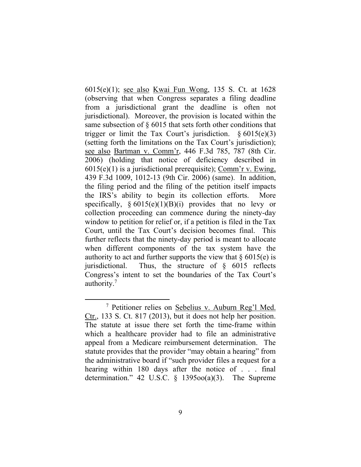6015(e)(1); see also Kwai Fun Wong, 135 S. Ct. at 1628 (observing that when Congress separates a filing deadline from a jurisdictional grant the deadline is often not jurisdictional). Moreover, the provision is located within the same subsection of § 6015 that sets forth other conditions that trigger or limit the Tax Court's jurisdiction.  $§ 6015(e)(3)$ (setting forth the limitations on the Tax Court's jurisdiction); see also Bartman v. Comm'r, 446 F.3d 785, 787 (8th Cir. 2006) (holding that notice of deficiency described in  $6015(e)(1)$  is a jurisdictional prerequisite); Comm'r v. Ewing, 439 F.3d 1009, 1012-13 (9th Cir. 2006) (same). In addition, the filing period and the filing of the petition itself impacts the IRS's ability to begin its collection efforts. More specifically,  $\S 6015(e)(1)(B)(i)$  provides that no levy or collection proceeding can commence during the ninety-day window to petition for relief or, if a petition is filed in the Tax Court, until the Tax Court's decision becomes final. This further reflects that the ninety-day period is meant to allocate when different components of the tax system have the authority to act and further supports the view that  $\S 6015(e)$  is jurisdictional. Thus, the structure of § 6015 reflects Congress's intent to set the boundaries of the Tax Court's authority.<sup>7</sup>

<sup>7</sup> Petitioner relies on Sebelius v. Auburn Reg'l Med. Ctr., 133 S. Ct. 817 (2013), but it does not help her position. The statute at issue there set forth the time-frame within which a healthcare provider had to file an administrative appeal from a Medicare reimbursement determination. The statute provides that the provider "may obtain a hearing" from the administrative board if "such provider files a request for a hearing within 180 days after the notice of . . . final determination." 42 U.S.C.  $\frac{139500(a)(3)}{139500(a)(3)}$ . The Supreme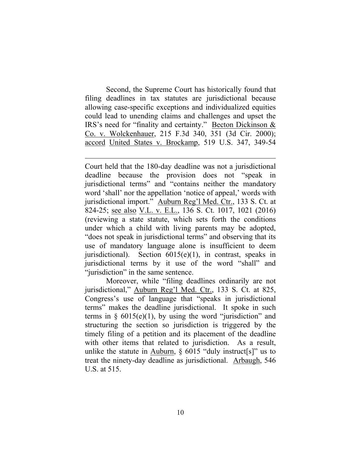Second, the Supreme Court has historically found that filing deadlines in tax statutes are jurisdictional because allowing case-specific exceptions and individualized equities could lead to unending claims and challenges and upset the IRS's need for "finality and certainty." Becton Dickinson & Co. v. Wolckenhauer, 215 F.3d 340, 351 (3d Cir. 2000); accord United States v. Brockamp, 519 U.S. 347, 349-54

 $\overline{a}$ 

Court held that the 180-day deadline was not a jurisdictional deadline because the provision does not "speak in jurisdictional terms" and "contains neither the mandatory word 'shall' nor the appellation 'notice of appeal,' words with jurisdictional import." Auburn Reg'l Med. Ctr., 133 S. Ct. at 824-25; see also V.L. v. E.L., 136 S. Ct. 1017, 1021 (2016) (reviewing a state statute, which sets forth the conditions under which a child with living parents may be adopted, "does not speak in jurisdictional terms" and observing that its use of mandatory language alone is insufficient to deem jurisdictional). Section 6015(e)(1), in contrast, speaks in jurisdictional terms by it use of the word "shall" and "jurisdiction" in the same sentence.

Moreover, while "filing deadlines ordinarily are not jurisdictional," Auburn Reg'l Med. Ctr., 133 S. Ct. at 825, Congress's use of language that "speaks in jurisdictional terms" makes the deadline jurisdictional. It spoke in such terms in  $\S$  6015(e)(1), by using the word "jurisdiction" and structuring the section so jurisdiction is triggered by the timely filing of a petition and its placement of the deadline with other items that related to jurisdiction. As a result, unlike the statute in Auburn,  $\S$  6015 "duly instruct[s]" us to treat the ninety-day deadline as jurisdictional. Arbaugh, 546 U.S. at 515.